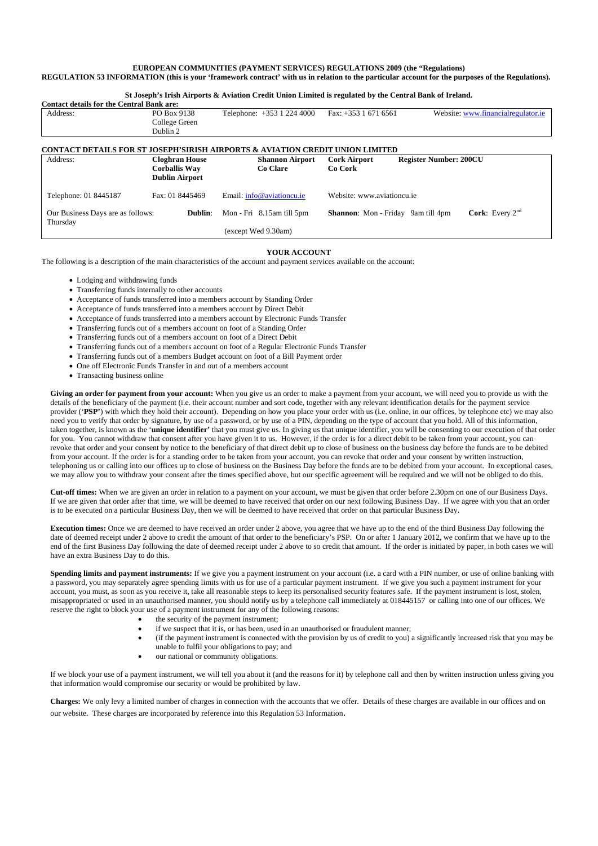## **EUROPEAN COMMUNITIES (PAYMENT SERVICES) REGULATIONS 2009 (the "Regulations)**

## **REGULATION 53 INFORMATION (this is your 'framework contract' with us in relation to the particular account for the purposes of the Regulations).**

**St Joseph's Irish Airports & Aviation Credit Union Limited is regulated by the Central Bank of Ireland.** 

| <b>Contact details for the Central Bank are:</b>                                                   |                       |                                                         |                                                                          |                                    |
|----------------------------------------------------------------------------------------------------|-----------------------|---------------------------------------------------------|--------------------------------------------------------------------------|------------------------------------|
| Address:                                                                                           | PO Box 9138           | Telephone: +353 1 224 4000                              | Fax: $+353$ 1 671 6561                                                   | Website: www.financialregulator.ie |
|                                                                                                    | College Green         |                                                         |                                                                          |                                    |
|                                                                                                    | Dublin 2              |                                                         |                                                                          |                                    |
|                                                                                                    |                       |                                                         |                                                                          |                                    |
| <b>CONTACT DETAILS FOR ST JOSEPH'SIRISH AIRPORTS &amp; AVIATION</b><br><b>CREDIT UNION LIMITED</b> |                       |                                                         |                                                                          |                                    |
| Address:                                                                                           | <b>Cloghran House</b> | <b>Shannon Airport</b>                                  | <b>Cork Airport</b>                                                      | <b>Register Number: 200CU</b>      |
|                                                                                                    | <b>Corballis Way</b>  | Co Clare                                                | Co Cork                                                                  |                                    |
|                                                                                                    | <b>Dublin Airport</b> |                                                         |                                                                          |                                    |
| Fax: 01 8445469<br>Telephone: 01 8445187                                                           |                       | Website: www.aviationcu.ie<br>Email: info@aviationcu.ie |                                                                          |                                    |
|                                                                                                    |                       |                                                         |                                                                          |                                    |
| Our Business Days are as follows:<br>Dublin:                                                       |                       | Mon - Fri 8.15 am till 5 pm                             | <b>Cork:</b> Every $2^{nd}$<br><b>Shannon:</b> Mon - Friday 9am till 4pm |                                    |
| Thursday                                                                                           |                       |                                                         |                                                                          |                                    |
|                                                                                                    |                       | (except Wed 9.30am)                                     |                                                                          |                                    |

## **YOUR ACCOUNT**

The following is a description of the main characteristics of the account and payment services available on the account:

- Lodging and withdrawing funds
- Transferring funds internally to other accounts
- Acceptance of funds transferred into a members account by Standing Order
- Acceptance of funds transferred into a members account by Direct Debit
- Acceptance of funds transferred into a members account by Electronic Funds Transfer
- Transferring funds out of a members account on foot of a Standing Order
- Transferring funds out of a members account on foot of a Direct Debit
- Transferring funds out of a members account on foot of a Regular Electronic Funds Transfer
- Transferring funds out of a members Budget account on foot of a Bill Payment order
- One off Electronic Funds Transfer in and out of a members account
- Transacting business online

**Giving an order for payment from your account:** When you give us an order to make a payment from your account, we will need you to provide us with the details of the beneficiary of the payment (i.e. their account number and sort code, together with any relevant identification details for the payment service provider ('**PSP'**) with which they hold their account). Depending on how you place your order with us (i.e. online, in our offices, by telephone etc) we may also need you to verify that order by signature, by use of a password, or by use of a PIN, depending on the type of account that you hold. All of this information, taken together, is known as the '**unique identifier'** that you must give us. In giving us that unique identifier, you will be consenting to our execution of that order for you. You cannot withdraw that consent after you have given it to us. However, if the order is for a direct debit to be taken from your account, you can revoke that order and your consent by notice to the beneficiary of that direct debit up to close of business on the business day before the funds are to be debited from your account. If the order is for a standing order to be taken from your account, you can revoke that order and your consent by written instruction, telephoning us or calling into our offices up to close of business on the Business Day before the funds are to be debited from your account. In exceptional cases, we may allow you to withdraw your consent after the times specified above, but our specific agreement will be required and we will not be obliged to do this.

**Cut-off times:** When we are given an order in relation to a payment on your account, we must be given that order before 2.30pm on one of our Business Days. If we are given that order after that time, we will be deemed to have received that order on our next following Business Day. If we agree with you that an order is to be executed on a particular Business Day, then we will be deemed to have received that order on that particular Business Day.

**Execution times:** Once we are deemed to have received an order under 2 above, you agree that we have up to the end of the third Business Day following the date of deemed receipt under 2 above to credit the amount of that order to the beneficiary's PSP. On or after 1 January 2012, we confirm that we have up to the end of the first Business Day following the date of deemed receipt under 2 above to so credit that amount. If the order is initiated by paper, in both cases we will have an extra Business Day to do this.

**Spending limits and payment instruments:** If we give you a payment instrument on your account (i.e. a card with a PIN number, or use of online banking with a password, you may separately agree spending limits with us for use of a particular payment instrument. If we give you such a payment instrument for your account, you must, as soon as you receive it, take all reasonable steps to keep its personalised security features safe. If the payment instrument is lost, stolen, misappropriated or used in an unauthorised manner, you should notify us by a telephone call immediately at 018445157 or calling into one of our offices. We reserve the right to block your use of a payment instrument for any of the following reasons:

- the security of the payment instrument;
- if we suspect that it is, or has been, used in an unauthorised or fraudulent manner;
- (if the payment instrument is connected with the provision by us of credit to you) a significantly increased risk that you may be unable to fulfil your obligations to pay; and
	- our national or community obligations.

If we block your use of a payment instrument, we will tell you about it (and the reasons for it) by telephone call and then by written instruction unless giving you that information would compromise our security or would be prohibited by law.

**Charges:** We only levy a limited number of charges in connection with the accounts that we offer. Details of these charges are available in our offices and on our website. These charges are incorporated by reference into this Regulation 53 Information.